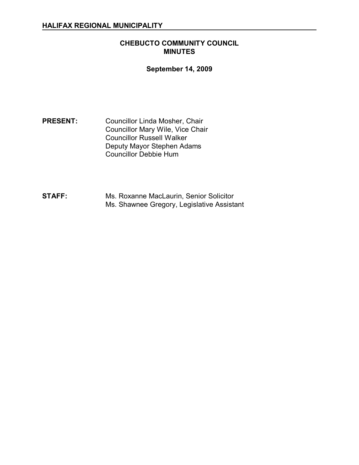### **CHEBUCTO COMMUNITY COUNCIL MINUTES**

### **September 14, 2009**

**PRESENT:** Councillor Linda Mosher, Chair Councillor Mary Wile, Vice Chair Councillor Russell Walker Deputy Mayor Stephen Adams Councillor Debbie Hum

**STAFF:** Ms. Roxanne MacLaurin, Senior Solicitor Ms. Shawnee Gregory, Legislative Assistant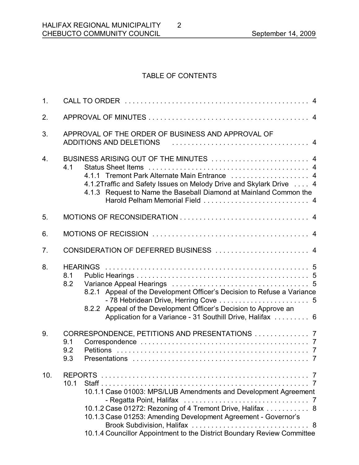# TABLE OF CONTENTS

2

| 1.  |                                                                                                                                                                                                                                                                                    |
|-----|------------------------------------------------------------------------------------------------------------------------------------------------------------------------------------------------------------------------------------------------------------------------------------|
| 2.  |                                                                                                                                                                                                                                                                                    |
| 3.  | APPROVAL OF THE ORDER OF BUSINESS AND APPROVAL OF<br>ADDITIONS AND DELETIONS                                                                                                                                                                                                       |
| 4.  | BUSINESS ARISING OUT OF THE MINUTES  4<br>4.1<br>4.1.1 Tremont Park Alternate Main Entrance  4<br>4.1.2Traffic and Safety Issues on Melody Drive and Skylark Drive  4<br>4.1.3 Request to Name the Baseball Diamond at Mainland Common the                                         |
| 5.  |                                                                                                                                                                                                                                                                                    |
| 6.  |                                                                                                                                                                                                                                                                                    |
| 7.  | CONSIDERATION OF DEFERRED BUSINESS  4                                                                                                                                                                                                                                              |
| 8.  | <b>HEARINGS</b><br>8.1<br>8.2<br>8.2.1 Appeal of the Development Officer's Decision to Refuse a Variance<br>8.2.2 Appeal of the Development Officer's Decision to Approve an<br>Application for a Variance - 31 Southill Drive, Halifax  6                                         |
| 9.  | CORRESPONDENCE, PETITIONS AND PRESENTATIONS  7<br>9.1<br>9.2<br>9.3                                                                                                                                                                                                                |
| 10. | 10.1<br>10.1.1 Case 01003: MPS/LUB Amendments and Development Agreement<br>10.1.2 Case 01272: Rezoning of 4 Tremont Drive, Halifax  8<br>10.1.3 Case 01253: Amending Development Agreement - Governor's<br>10.1.4 Councillor Appointment to the District Boundary Review Committee |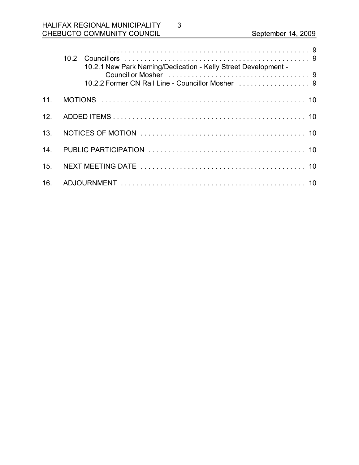# HALIFAX REGIONAL MUNICIPALITY CHEBUCTO COMMUNITY COUNCIL September 14, 2009

|                 | 10.2.1 New Park Naming/Dedication - Kelly Street Development -<br>10.2.2 Former CN Rail Line - Councillor Mosher [1, 1, 1, 1, 1, 1, 1, 1, 1, 1, 1, 9]                                                                               |  |
|-----------------|-------------------------------------------------------------------------------------------------------------------------------------------------------------------------------------------------------------------------------------|--|
| 11 <sub>1</sub> |                                                                                                                                                                                                                                     |  |
| 12 <sub>1</sub> |                                                                                                                                                                                                                                     |  |
| 13.             | NOTICES OF MOTION <i>interesting the continuum of the series</i> of the series of the series of the series of the series of the series of the series of the series of the series of the series of the series of the series of the s |  |
| 14 <sub>1</sub> |                                                                                                                                                                                                                                     |  |
| 15.             |                                                                                                                                                                                                                                     |  |
| 16.             |                                                                                                                                                                                                                                     |  |

3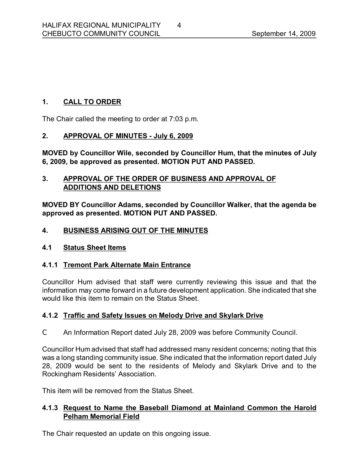# **1. CALL TO ORDER**

The Chair called the meeting to order at 7:03 p.m.

# **2. APPROVAL OF MINUTES July 6, 2009**

**MOVED by Councillor Wile, seconded by Councillor Hum, that the minutes of July 6, 2009, be approved as presented. MOTION PUT AND PASSED.** 

## **3. APPROVAL OF THE ORDER OF BUSINESS AND APPROVAL OF ADDITIONS AND DELETIONS**

**MOVED BY Councillor Adams, seconded by Councillor Walker, that the agenda be approved as presented. MOTION PUT AND PASSED.** 

## **4. BUSINESS ARISING OUT OF THE MINUTES**

#### **4.1 Status Sheet Items**

# **4.1.1 Tremont Park Alternate Main Entrance**

Councillor Hum advised that staff were currently reviewing this issue and that the information may come forward in a future development application. She indicated that she would like this item to remain on the Status Sheet.

#### **4.1.2 Traffic and Safety Issues on Melody Drive and Skylark Drive**

C An Information Report dated July 28, 2009 was before Community Council.

Councillor Hum advised that staff had addressed many resident concerns; noting that this was a long standing community issue. She indicated that the information report dated July 28, 2009 would be sent to the residents of Melody and Skylark Drive and to the Rockingham Residents' Association.

This item will be removed from the Status Sheet.

# **4.1.3 Request to Name the Baseball Diamond at Mainland Common the Harold Pelham Memorial Field**

The Chair requested an update on this ongoing issue.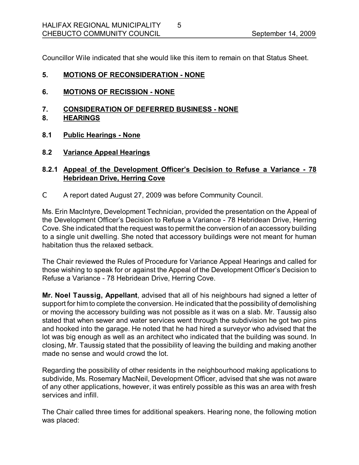Councillor Wile indicated that she would like this item to remain on that Status Sheet.

5

#### **5. MOTIONS OF RECONSIDERATION NONE**

- **6. MOTIONS OF RECISSION NONE**
- **7. CONSIDERATION OF DEFERRED BUSINESS NONE**
- **8. HEARINGS**
- **8.1 Public Hearings None**
- **8.2 Variance Appeal Hearings**

# **8.2.1 Appeal of the Development Officer's Decision to Refuse a Variance 78 Hebridean Drive, Herring Cove**

C A report dated August 27, 2009 was before Community Council.

Ms. Erin MacIntyre, Development Technician, provided the presentation on the Appeal of the Development Officer's Decision to Refuse a Variance 78 Hebridean Drive, Herring Cove. She indicated that the request was to permit the conversion of an accessory building to a single unit dwelling. She noted that accessory buildings were not meant for human habitation thus the relaxed setback.

The Chair reviewed the Rules of Procedure for Variance Appeal Hearings and called for those wishing to speak for or against the Appeal of the Development Officer's Decision to Refuse a Variance - 78 Hebridean Drive, Herring Cove.

**Mr. Noel Taussig, Appellant**, advised that all of his neighbours had signed a letter of support for him to complete the conversion. He indicated that the possibility of demolishing or moving the accessory building was not possible as it was on a slab. Mr. Taussig also stated that when sewer and water services went through the subdivision he got two pins and hooked into the garage. He noted that he had hired a surveyor who advised that the lot was big enough as well as an architect who indicated that the building was sound. In closing, Mr. Taussig stated that the possibility of leaving the building and making another made no sense and would crowd the lot.

Regarding the possibility of other residents in the neighbourhood making applications to subdivide, Ms. Rosemary MacNeil, Development Officer, advised that she was not aware of any other applications, however, it was entirely possible as this was an area with fresh services and infill.

The Chair called three times for additional speakers. Hearing none, the following motion was placed: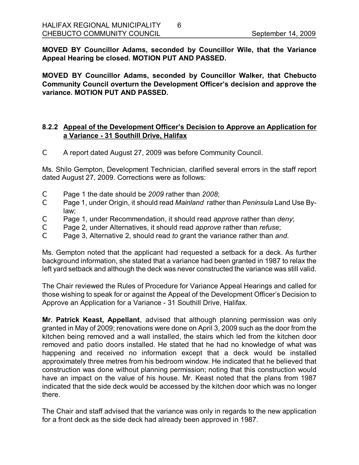**MOVED BY Councillor Adams, seconded by Councillor Wile, that the Variance Appeal Hearing be closed. MOTION PUT AND PASSED.** 

6

**MOVED BY Councillor Adams, seconded by Councillor Walker, that Chebucto Community Council overturn the Development Officer's decision and approve the variance. MOTION PUT AND PASSED.** 

#### **8.2.2 Appeal of the Development Officer's Decision to Approve an Application for a Variance 31 Southill Drive, Halifax**

C A report dated August 27, 2009 was before Community Council.

Ms. Shilo Gempton, Development Technician, clarified several errors in the staff report dated August 27, 2009. Corrections were as follows:

- C Page 1 the date should be *2009* rather than *2008*;
- C Page 1, under Origin, it should read *Mainland* rather than *Peninsula* Land Use Bylaw;
- C Page 1, under Recommendation, it should read *approve* rather than *deny*;
- C Page 2, under Alternatives, it should read *approve* rather than *refuse*;
- C Page 3, Alternative 2, should read *to* grant the variance rather than *and*.

Ms. Gempton noted that the applicant had requested a setback for a deck. As further background information, she stated that a variance had been granted in 1987 to relax the left yard setback and although the deck was never constructed the variance was still valid.

The Chair reviewed the Rules of Procedure for Variance Appeal Hearings and called for those wishing to speak for or against the Appeal of the Development Officer's Decision to Approve an Application for a Variance - 31 Southill Drive, Halifax.

**Mr. Patrick Keast, Appellant**, advised that although planning permission was only granted in May of 2009; renovations were done on April 3, 2009 such as the door from the kitchen being removed and a wall installed, the stairs which led from the kitchen door removed and patio doors installed. He stated that he had no knowledge of what was happening and received no information except that a deck would be installed approximately three metres from his bedroom window. He indicated that he believed that construction was done without planning permission; noting that this construction would have an impact on the value of his house. Mr. Keast noted that the plans from 1987 indicated that the side deck would be accessed by the kitchen door which was no longer there.

The Chair and staff advised that the variance was only in regards to the new application for a front deck as the side deck had already been approved in 1987.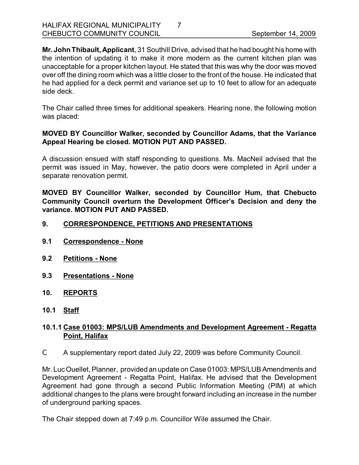**Mr. JohnThibault, Applicant**, 31 Southill Drive, advised that he had bought his home with the intention of updating it to make it more modern as the current kitchen plan was unacceptable for a proper kitchen layout. He stated that this was why the door was moved over off the dining room which was a little closer to the front of the house. He indicated that he had applied for a deck permit and variance set up to 10 feet to allow for an adequate side deck.

The Chair called three times for additional speakers. Hearing none, the following motion was placed:

### **MOVED BY Councillor Walker, seconded by Councillor Adams, that the Variance Appeal Hearing be closed. MOTION PUT AND PASSED.**

A discussion ensued with staff responding to questions. Ms. MacNeil advised that the permit was issued in May, however, the patio doors were completed in April under a separate renovation permit.

**MOVED BY Councillor Walker, seconded by Councillor Hum, that Chebucto Community Council overturn the Development Officer's Decision and deny the variance. MOTION PUT AND PASSED.** 

- **9. CORRESPONDENCE, PETITIONS AND PRESENTATIONS**
- **9.1 Correspondence None**
- **9.2 Petitions None**
- **9.3 Presentations None**
- **10. REPORTS**
- **10.1 Staff**

### **10.1.1 Case 01003: MPS/LUB Amendments and Development Agreement Regatta Point, Halifax**

C A supplementary report dated July 22, 2009 was before Community Council.

Mr. Luc Ouellet, Planner, provided an update on Case 01003: MPS/LUB Amendments and Development Agreement - Regatta Point, Halifax. He advised that the Development Agreement had gone through a second Public Information Meeting (PIM) at which additional changes to the plans were brought forward including an increase in the number of underground parking spaces.

The Chair stepped down at 7:49 p.m. Councillor Wile assumed the Chair.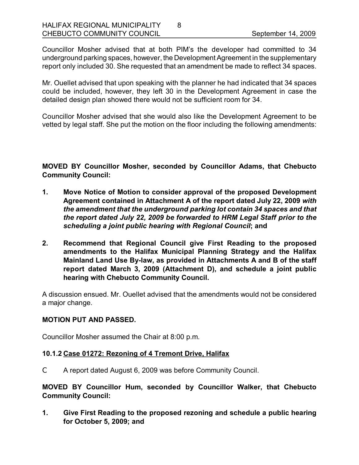Councillor Mosher advised that at both PIM's the developer had committed to 34 underground parking spaces, however, the Development Agreement in the supplementary report only included 30. She requested that an amendment be made to reflect 34 spaces.

8

Mr. Ouellet advised that upon speaking with the planner he had indicated that 34 spaces could be included, however, they left 30 in the Development Agreement in case the detailed design plan showed there would not be sufficient room for 34.

Councillor Mosher advised that she would also like the Development Agreement to be vetted by legal staff. She put the motion on the floor including the following amendments:

**MOVED BY Councillor Mosher, seconded by Councillor Adams, that Chebucto Community Council:**

- **1. Move Notice of Motion to consider approval of the proposed Development Agreement contained in Attachment A of the report dated July 22, 2009** *with the amendment that the underground parking lot contain 34 spaces and that the report dated July 22, 2009 be forwarded to HRM Legal Staff prior to the scheduling a joint public hearing with Regional Council***; and**
- **2. Recommend that Regional Council give First Reading to the proposed amendments to the Halifax Municipal Planning Strategy and the Halifax Mainland Land Use Bylaw, as provided in Attachments A and B of the staff report dated March 3, 2009 (Attachment D), and schedule a joint public hearing with Chebucto Community Council.**

A discussion ensued. Mr. Ouellet advised that the amendments would not be considered a major change.

#### **MOTION PUT AND PASSED.**

Councillor Mosher assumed the Chair at 8:00 p.m.

#### **10.1.2 Case 01272: Rezoning of 4 Tremont Drive, Halifax**

C A report dated August 6, 2009 was before Community Council.

**MOVED BY Councillor Hum, seconded by Councillor Walker, that Chebucto Community Council:**

**1. Give First Reading to the proposed rezoning and schedule a public hearing for October 5, 2009; and**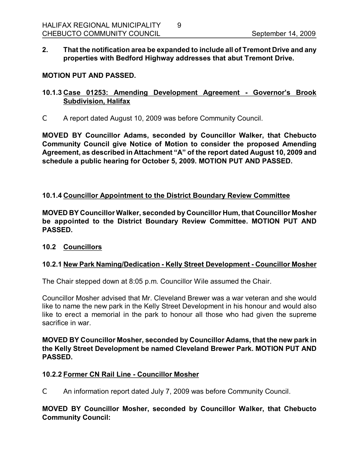**2. That the notification area be expanded to include all of Tremont Drive and any properties with Bedford Highway addresses that abut Tremont Drive.** 

### **MOTION PUT AND PASSED.**

# **10.1.3 Case 01253: Amending Development Agreement Governor's Brook Subdivision, Halifax**

C A report dated August 10, 2009 was before Community Council.

**MOVED BY Councillor Adams, seconded by Councillor Walker, that Chebucto Community Council give Notice of Motion to consider the proposed Amending Agreement, as described in Attachment "A" of the report dated August 10, 2009 and schedule a public hearing for October 5, 2009. MOTION PUT AND PASSED.** 

### **10.1.4 Councillor Appointment to the District Boundary Review Committee**

**MOVED BY Councillor Walker, seconded by Councillor Hum, that Councillor Mosher be appointed to the District Boundary Review Committee. MOTION PUT AND PASSED.** 

#### **10.2 Councillors**

# **10.2.1 New Park Naming/Dedication Kelly Street Development Councillor Mosher**

The Chair stepped down at 8:05 p.m. Councillor Wile assumed the Chair.

Councillor Mosher advised that Mr. Cleveland Brewer was a war veteran and she would like to name the new park in the Kelly Street Development in his honour and would also like to erect a memorial in the park to honour all those who had given the supreme sacrifice in war.

#### **MOVED BY Councillor Mosher, seconded by Councillor Adams, that the new park in the Kelly Street Development be named Cleveland Brewer Park. MOTION PUT AND PASSED.**

#### **10.2.2 Former CN Rail Line Councillor Mosher**

C An information report dated July 7, 2009 was before Community Council.

#### **MOVED BY Councillor Mosher, seconded by Councillor Walker, that Chebucto Community Council:**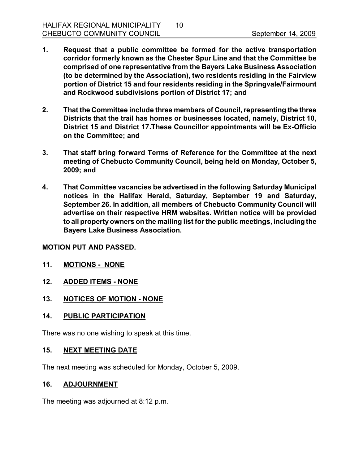- **1. Request that a public committee be formed for the active transportation corridor formerly known as the Chester Spur Line and that the Committee be comprised of one representative from the Bayers Lake Business Association (to be determined by the Association), two residents residing in the Fairview portion of District 15 and four residents residing in the Springvale/Fairmount and Rockwood subdivisions portion of District 17; and**
- **2. That the Committee include three members of Council, representing the three Districts that the trail has homes or businesses located, namely, District 10, District 15 and District 17.These Councillor appointments will be ExOfficio on the Committee; and**
- **3. That staff bring forward Terms of Reference for the Committee at the next meeting of Chebucto Community Council, being held on Monday, October 5, 2009; and**
- **4. That Committee vacancies be advertised in the following Saturday Municipal notices in the Halifax Herald, Saturday, September 19 and Saturday, September 26. In addition, all members of Chebucto Community Council will advertise on their respective HRM websites. Written notice will be provided to all propertyowners on the mailing list forthe public meetings, including the Bayers Lake Business Association.**

#### **MOTION PUT AND PASSED.**

- **11. MOTIONS NONE**
- 12. **ADDED ITEMS NONE**
- 13. NOTICES OF MOTION NONE

#### **14. PUBLIC PARTICIPATION**

There was no one wishing to speak at this time.

### **15. NEXT MEETING DATE**

The next meeting was scheduled for Monday, October 5, 2009.

#### **16. ADJOURNMENT**

The meeting was adjourned at 8:12 p.m.